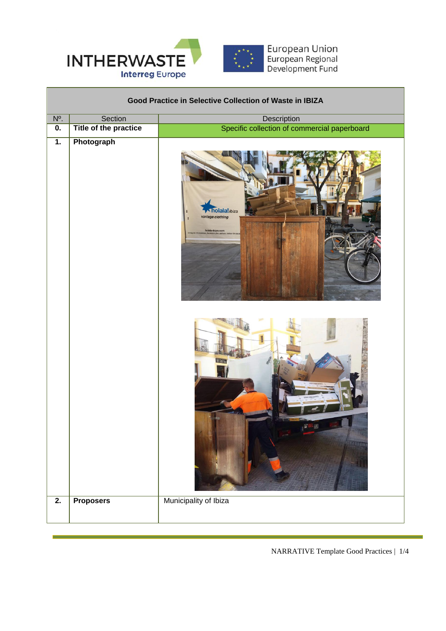

| Good Practice in Selective Collection of Waste in IBIZA |                       |                                                      |  |  |
|---------------------------------------------------------|-----------------------|------------------------------------------------------|--|--|
| N°.                                                     | Section               | Description                                          |  |  |
| 0.                                                      | Title of the practice | Specific collection of commercial paperboard         |  |  |
| $\overline{1}$ .                                        | Photograph            | holala!ibiza<br>vintage clothing<br>holala-ibiza.com |  |  |
|                                                         |                       | <b>AX 8</b><br>GIELTEL                               |  |  |
| $\overline{2}$ .                                        | <b>Proposers</b>      | Municipality of Ibiza                                |  |  |

NARRATIVE Template Good Practices | 1/4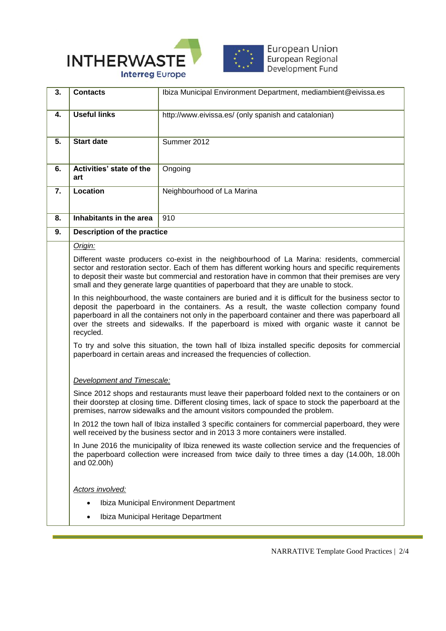

| 3. | <b>Contacts</b>                                                                                                                                                                                                                                                                                                                                                                                                     | Ibiza Municipal Environment Department, mediambient@eivissa.es |  |
|----|---------------------------------------------------------------------------------------------------------------------------------------------------------------------------------------------------------------------------------------------------------------------------------------------------------------------------------------------------------------------------------------------------------------------|----------------------------------------------------------------|--|
| 4. | <b>Useful links</b>                                                                                                                                                                                                                                                                                                                                                                                                 | http://www.eivissa.es/ (only spanish and catalonian)           |  |
| 5. | <b>Start date</b>                                                                                                                                                                                                                                                                                                                                                                                                   | Summer 2012                                                    |  |
| 6. | Activities' state of the<br>art                                                                                                                                                                                                                                                                                                                                                                                     | Ongoing                                                        |  |
| 7. | Location                                                                                                                                                                                                                                                                                                                                                                                                            | Neighbourhood of La Marina                                     |  |
| 8. | Inhabitants in the area                                                                                                                                                                                                                                                                                                                                                                                             | 910                                                            |  |
| 9. | Description of the practice                                                                                                                                                                                                                                                                                                                                                                                         |                                                                |  |
|    | Origin:                                                                                                                                                                                                                                                                                                                                                                                                             |                                                                |  |
|    | Different waste producers co-exist in the neighbourhood of La Marina: residents, commercial<br>sector and restoration sector. Each of them has different working hours and specific requirements<br>to deposit their waste but commercial and restoration have in common that their premises are very<br>small and they generate large quantities of paperboard that they are unable to stock.                      |                                                                |  |
|    | In this neighbourhood, the waste containers are buried and it is difficult for the business sector to<br>deposit the paperboard in the containers. As a result, the waste collection company found<br>paperboard in all the containers not only in the paperboard container and there was paperboard all<br>over the streets and sidewalks. If the paperboard is mixed with organic waste it cannot be<br>recycled. |                                                                |  |
|    | To try and solve this situation, the town hall of Ibiza installed specific deposits for commercial<br>paperboard in certain areas and increased the frequencies of collection.                                                                                                                                                                                                                                      |                                                                |  |
|    | <b>Development and Timescale:</b>                                                                                                                                                                                                                                                                                                                                                                                   |                                                                |  |
|    | Since 2012 shops and restaurants must leave their paperboard folded next to the containers or on<br>their doorstep at closing time. Different closing times, lack of space to stock the paperboard at the<br>premises, narrow sidewalks and the amount visitors compounded the problem.                                                                                                                             |                                                                |  |
|    | In 2012 the town hall of Ibiza installed 3 specific containers for commercial paperboard, they were<br>well received by the business sector and in 2013 3 more containers were installed.                                                                                                                                                                                                                           |                                                                |  |
|    | In June 2016 the municipality of Ibiza renewed its waste collection service and the frequencies of<br>the paperboard collection were increased from twice daily to three times a day (14.00h, 18.00h<br>and 02.00h)                                                                                                                                                                                                 |                                                                |  |
|    | Actors involved:                                                                                                                                                                                                                                                                                                                                                                                                    |                                                                |  |
|    | Ibiza Municipal Environment Department                                                                                                                                                                                                                                                                                                                                                                              |                                                                |  |
|    |                                                                                                                                                                                                                                                                                                                                                                                                                     | Ibiza Municipal Heritage Department                            |  |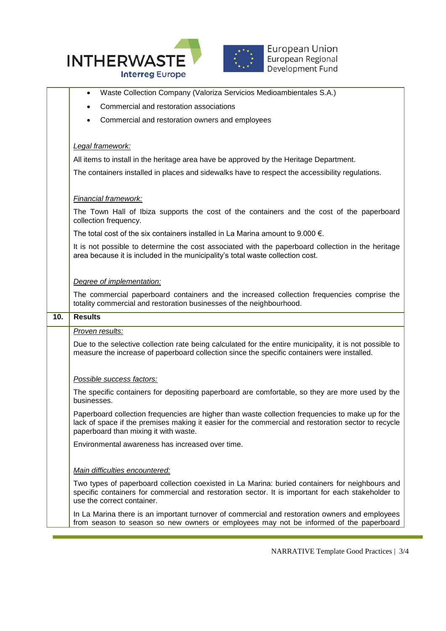



**European Union** European Regional Development Fund

 Waste Collection Company (Valoriza Servicios Medioambientales S.A.) Commercial and restoration associations Commercial and restoration owners and employees

## *Legal framework:*

All items to install in the heritage area have be approved by the Heritage Department.

The containers installed in places and sidewalks have to respect the accessibility regulations.

## *Financial framework:*

The Town Hall of Ibiza supports the cost of the containers and the cost of the paperboard collection frequency.

The total cost of the six containers installed in La Marina amount to 9.000  $\epsilon$ .

It is not possible to determine the cost associated with the paperboard collection in the heritage area because it is included in the municipality's total waste collection cost.

## *Degree of implementation:*

The commercial paperboard containers and the increased collection frequencies comprise the totality commercial and restoration businesses of the neighbourhood.

| 10. | <b>Results</b>                                                                                                                                                                                                                                    |
|-----|---------------------------------------------------------------------------------------------------------------------------------------------------------------------------------------------------------------------------------------------------|
|     | Proven results:                                                                                                                                                                                                                                   |
|     | Due to the selective collection rate being calculated for the entire municipality, it is not possible to<br>measure the increase of paperboard collection since the specific containers were installed.                                           |
|     | Possible success factors:                                                                                                                                                                                                                         |
|     | The specific containers for depositing paperboard are comfortable, so they are more used by the<br>businesses.                                                                                                                                    |
|     | Paperboard collection frequencies are higher than waste collection frequencies to make up for the<br>lack of space if the premises making it easier for the commercial and restoration sector to recycle<br>paperboard than mixing it with waste. |
|     | Environmental awareness has increased over time.                                                                                                                                                                                                  |
|     |                                                                                                                                                                                                                                                   |
|     | Main difficulties encountered:                                                                                                                                                                                                                    |
|     | Two types of paperboard collection coexisted in La Marina: buried containers for neighbours and<br>specific containers for commercial and restoration sector. It is important for each stakeholder to                                             |

use the correct container. In La Marina there is an important turnover of commercial and restoration owners and employees from season to season so new owners or employees may not be informed of the paperboard